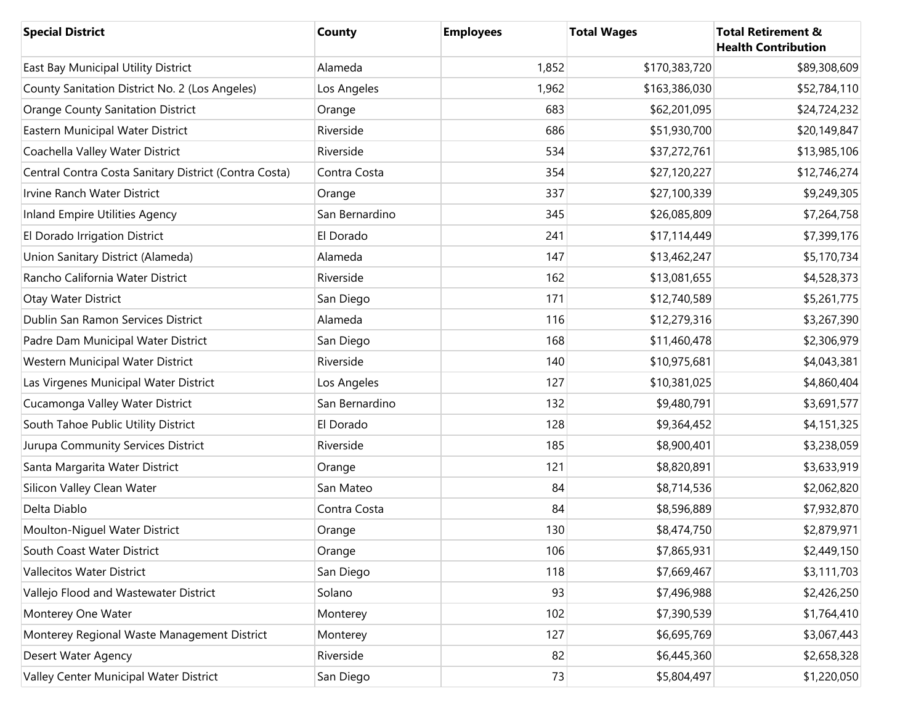| <b>Special District</b>                               | <b>County</b>  | <b>Employees</b> | <b>Total Wages</b> | <b>Total Retirement &amp;</b><br><b>Health Contribution</b> |
|-------------------------------------------------------|----------------|------------------|--------------------|-------------------------------------------------------------|
| East Bay Municipal Utility District                   | Alameda        | 1,852            | \$170,383,720      | \$89,308,609                                                |
| County Sanitation District No. 2 (Los Angeles)        | Los Angeles    | 1,962            | \$163,386,030      | \$52,784,110                                                |
| <b>Orange County Sanitation District</b>              | Orange         | 683              | \$62,201,095       | \$24,724,232                                                |
| Eastern Municipal Water District                      | Riverside      | 686              | \$51,930,700       | \$20,149,847                                                |
| Coachella Valley Water District                       | Riverside      | 534              | \$37,272,761       | \$13,985,106                                                |
| Central Contra Costa Sanitary District (Contra Costa) | Contra Costa   | 354              | \$27,120,227       | \$12,746,274                                                |
| Irvine Ranch Water District                           | Orange         | 337              | \$27,100,339       | \$9,249,305                                                 |
| Inland Empire Utilities Agency                        | San Bernardino | 345              | \$26,085,809       | \$7,264,758                                                 |
| El Dorado Irrigation District                         | El Dorado      | 241              | \$17,114,449       | \$7,399,176                                                 |
| Union Sanitary District (Alameda)                     | Alameda        | 147              | \$13,462,247       | \$5,170,734                                                 |
| Rancho California Water District                      | Riverside      | 162              | \$13,081,655       | \$4,528,373                                                 |
| Otay Water District                                   | San Diego      | 171              | \$12,740,589       | \$5,261,775                                                 |
| Dublin San Ramon Services District                    | Alameda        | 116              | \$12,279,316       | \$3,267,390                                                 |
| Padre Dam Municipal Water District                    | San Diego      | 168              | \$11,460,478       | \$2,306,979                                                 |
| Western Municipal Water District                      | Riverside      | 140              | \$10,975,681       | \$4,043,381                                                 |
| Las Virgenes Municipal Water District                 | Los Angeles    | 127              | \$10,381,025       | \$4,860,404                                                 |
| Cucamonga Valley Water District                       | San Bernardino | 132              | \$9,480,791        | \$3,691,577                                                 |
| South Tahoe Public Utility District                   | El Dorado      | 128              | \$9,364,452        | \$4,151,325                                                 |
| Jurupa Community Services District                    | Riverside      | 185              | \$8,900,401        | \$3,238,059                                                 |
| Santa Margarita Water District                        | Orange         | 121              | \$8,820,891        | \$3,633,919                                                 |
| Silicon Valley Clean Water                            | San Mateo      | 84               | \$8,714,536        | \$2,062,820                                                 |
| Delta Diablo                                          | Contra Costa   | 84               | \$8,596,889        | \$7,932,870                                                 |
| Moulton-Niguel Water District                         | Orange         | 130              | \$8,474,750        | \$2,879,971                                                 |
| South Coast Water District                            | Orange         | 106              | \$7,865,931        | \$2,449,150                                                 |
| <b>Vallecitos Water District</b>                      | San Diego      | 118              | \$7,669,467        | \$3,111,703                                                 |
| Vallejo Flood and Wastewater District                 | Solano         | 93               | \$7,496,988        | \$2,426,250                                                 |
| Monterey One Water                                    | Monterey       | 102              | \$7,390,539        | \$1,764,410                                                 |
| Monterey Regional Waste Management District           | Monterey       | 127              | \$6,695,769        | \$3,067,443                                                 |
| Desert Water Agency                                   | Riverside      | 82               | \$6,445,360        | \$2,658,328                                                 |
| Valley Center Municipal Water District                | San Diego      | 73               | \$5,804,497        | \$1,220,050                                                 |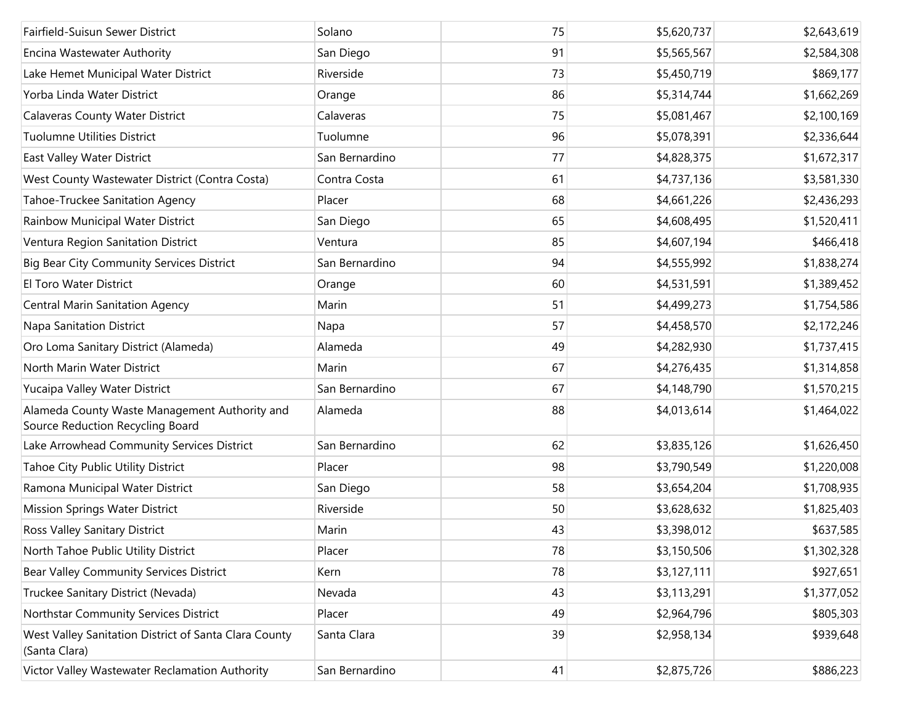| Fairfield-Suisun Sewer District                                                   | Solano         | 75 | \$5,620,737 | \$2,643,619 |
|-----------------------------------------------------------------------------------|----------------|----|-------------|-------------|
| Encina Wastewater Authority                                                       | San Diego      | 91 | \$5,565,567 | \$2,584,308 |
| Lake Hemet Municipal Water District                                               | Riverside      | 73 | \$5,450,719 | \$869,177   |
| Yorba Linda Water District                                                        | Orange         | 86 | \$5,314,744 | \$1,662,269 |
| <b>Calaveras County Water District</b>                                            | Calaveras      | 75 | \$5,081,467 | \$2,100,169 |
| <b>Tuolumne Utilities District</b>                                                | Tuolumne       | 96 | \$5,078,391 | \$2,336,644 |
| East Valley Water District                                                        | San Bernardino | 77 | \$4,828,375 | \$1,672,317 |
| West County Wastewater District (Contra Costa)                                    | Contra Costa   | 61 | \$4,737,136 | \$3,581,330 |
| Tahoe-Truckee Sanitation Agency                                                   | Placer         | 68 | \$4,661,226 | \$2,436,293 |
| Rainbow Municipal Water District                                                  | San Diego      | 65 | \$4,608,495 | \$1,520,411 |
| Ventura Region Sanitation District                                                | Ventura        | 85 | \$4,607,194 | \$466,418   |
| Big Bear City Community Services District                                         | San Bernardino | 94 | \$4,555,992 | \$1,838,274 |
| <b>El Toro Water District</b>                                                     | Orange         | 60 | \$4,531,591 | \$1,389,452 |
| <b>Central Marin Sanitation Agency</b>                                            | Marin          | 51 | \$4,499,273 | \$1,754,586 |
| Napa Sanitation District                                                          | Napa           | 57 | \$4,458,570 | \$2,172,246 |
| Oro Loma Sanitary District (Alameda)                                              | Alameda        | 49 | \$4,282,930 | \$1,737,415 |
| North Marin Water District                                                        | Marin          | 67 | \$4,276,435 | \$1,314,858 |
| Yucaipa Valley Water District                                                     | San Bernardino | 67 | \$4,148,790 | \$1,570,215 |
| Alameda County Waste Management Authority and<br>Source Reduction Recycling Board | Alameda        | 88 | \$4,013,614 | \$1,464,022 |
| Lake Arrowhead Community Services District                                        | San Bernardino | 62 | \$3,835,126 | \$1,626,450 |
| Tahoe City Public Utility District                                                | Placer         | 98 | \$3,790,549 | \$1,220,008 |
| Ramona Municipal Water District                                                   | San Diego      | 58 | \$3,654,204 | \$1,708,935 |
| Mission Springs Water District                                                    | Riverside      | 50 | \$3,628,632 | \$1,825,403 |
| Ross Valley Sanitary District                                                     | Marin          | 43 | \$3,398,012 | \$637,585   |
| North Tahoe Public Utility District                                               | Placer         | 78 | \$3,150,506 | \$1,302,328 |
| Bear Valley Community Services District                                           | Kern           | 78 | \$3,127,111 | \$927,651   |
| Truckee Sanitary District (Nevada)                                                | Nevada         | 43 | \$3,113,291 | \$1,377,052 |
| Northstar Community Services District                                             | Placer         | 49 | \$2,964,796 | \$805,303   |
| West Valley Sanitation District of Santa Clara County<br>(Santa Clara)            | Santa Clara    | 39 | \$2,958,134 | \$939,648   |
| Victor Valley Wastewater Reclamation Authority                                    | San Bernardino | 41 | \$2,875,726 | \$886,223   |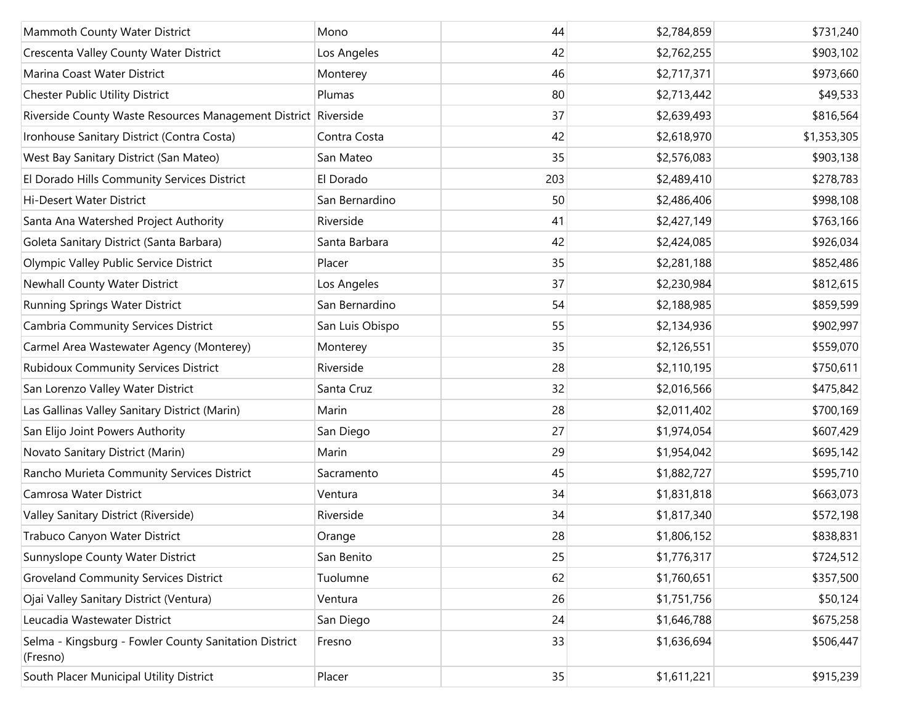| Mammoth County Water District                                     | Mono            | 44  | \$2,784,859 | \$731,240   |
|-------------------------------------------------------------------|-----------------|-----|-------------|-------------|
| Crescenta Valley County Water District                            | Los Angeles     | 42  | \$2,762,255 | \$903,102   |
| Marina Coast Water District                                       | Monterey        | 46  | \$2,717,371 | \$973,660   |
| Chester Public Utility District                                   | Plumas          | 80  | \$2,713,442 | \$49,533    |
| Riverside County Waste Resources Management District Riverside    |                 | 37  | \$2,639,493 | \$816,564   |
| Ironhouse Sanitary District (Contra Costa)                        | Contra Costa    | 42  | \$2,618,970 | \$1,353,305 |
| West Bay Sanitary District (San Mateo)                            | San Mateo       | 35  | \$2,576,083 | \$903,138   |
| El Dorado Hills Community Services District                       | El Dorado       | 203 | \$2,489,410 | \$278,783   |
| Hi-Desert Water District                                          | San Bernardino  | 50  | \$2,486,406 | \$998,108   |
| Santa Ana Watershed Project Authority                             | Riverside       | 41  | \$2,427,149 | \$763,166   |
| Goleta Sanitary District (Santa Barbara)                          | Santa Barbara   | 42  | \$2,424,085 | \$926,034   |
| Olympic Valley Public Service District                            | Placer          | 35  | \$2,281,188 | \$852,486   |
| Newhall County Water District                                     | Los Angeles     | 37  | \$2,230,984 | \$812,615   |
| Running Springs Water District                                    | San Bernardino  | 54  | \$2,188,985 | \$859,599   |
| Cambria Community Services District                               | San Luis Obispo | 55  | \$2,134,936 | \$902,997   |
| Carmel Area Wastewater Agency (Monterey)                          | Monterey        | 35  | \$2,126,551 | \$559,070   |
| <b>Rubidoux Community Services District</b>                       | Riverside       | 28  | \$2,110,195 | \$750,611   |
| San Lorenzo Valley Water District                                 | Santa Cruz      | 32  | \$2,016,566 | \$475,842   |
| Las Gallinas Valley Sanitary District (Marin)                     | Marin           | 28  | \$2,011,402 | \$700,169   |
| San Elijo Joint Powers Authority                                  | San Diego       | 27  | \$1,974,054 | \$607,429   |
| Novato Sanitary District (Marin)                                  | Marin           | 29  | \$1,954,042 | \$695,142   |
| Rancho Murieta Community Services District                        | Sacramento      | 45  | \$1,882,727 | \$595,710   |
| Camrosa Water District                                            | Ventura         | 34  | \$1,831,818 | \$663,073   |
| Valley Sanitary District (Riverside)                              | Riverside       | 34  | \$1,817,340 | \$572,198   |
| Trabuco Canyon Water District                                     | Orange          | 28  | \$1,806,152 | \$838,831   |
| Sunnyslope County Water District                                  | San Benito      | 25  | \$1,776,317 | \$724,512   |
| <b>Groveland Community Services District</b>                      | Tuolumne        | 62  | \$1,760,651 | \$357,500   |
| Ojai Valley Sanitary District (Ventura)                           | Ventura         | 26  | \$1,751,756 | \$50,124    |
| Leucadia Wastewater District                                      | San Diego       | 24  | \$1,646,788 | \$675,258   |
| Selma - Kingsburg - Fowler County Sanitation District<br>(Fresno) | Fresno          | 33  | \$1,636,694 | \$506,447   |
| South Placer Municipal Utility District                           | Placer          | 35  | \$1,611,221 | \$915,239   |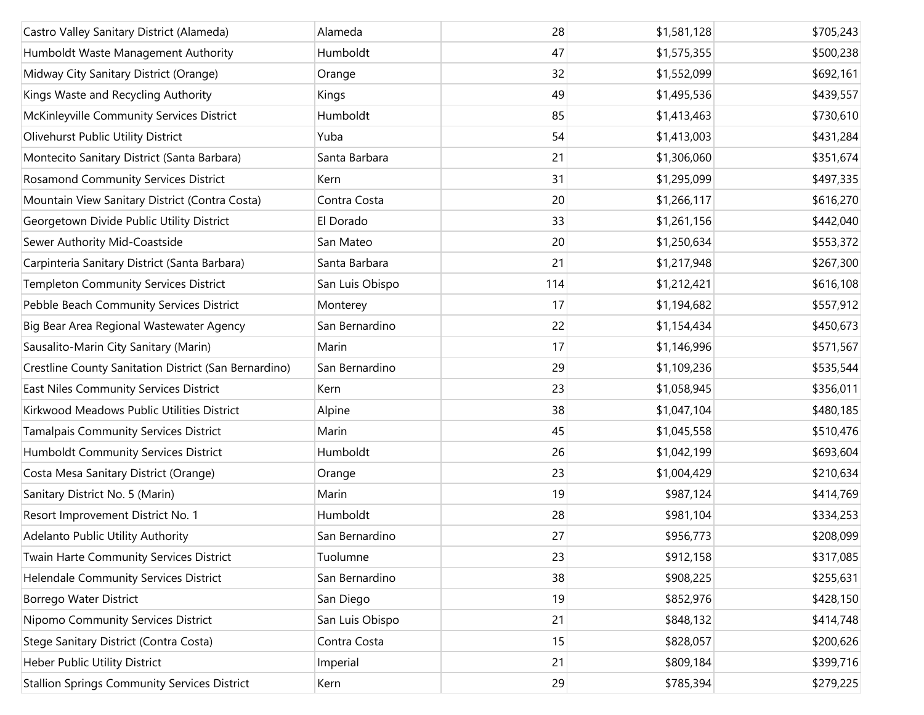| Castro Valley Sanitary District (Alameda)             | Alameda         | 28  | \$1,581,128 | \$705,243 |
|-------------------------------------------------------|-----------------|-----|-------------|-----------|
| Humboldt Waste Management Authority                   | Humboldt        | 47  | \$1,575,355 | \$500,238 |
| Midway City Sanitary District (Orange)                | Orange          | 32  | \$1,552,099 | \$692,161 |
| Kings Waste and Recycling Authority                   | Kings           | 49  | \$1,495,536 | \$439,557 |
| McKinleyville Community Services District             | Humboldt        | 85  | \$1,413,463 | \$730,610 |
| Olivehurst Public Utility District                    | Yuba            | 54  | \$1,413,003 | \$431,284 |
| Montecito Sanitary District (Santa Barbara)           | Santa Barbara   | 21  | \$1,306,060 | \$351,674 |
| Rosamond Community Services District                  | Kern            | 31  | \$1,295,099 | \$497,335 |
| Mountain View Sanitary District (Contra Costa)        | Contra Costa    | 20  | \$1,266,117 | \$616,270 |
| Georgetown Divide Public Utility District             | El Dorado       | 33  | \$1,261,156 | \$442,040 |
| Sewer Authority Mid-Coastside                         | San Mateo       | 20  | \$1,250,634 | \$553,372 |
| Carpinteria Sanitary District (Santa Barbara)         | Santa Barbara   | 21  | \$1,217,948 | \$267,300 |
| <b>Templeton Community Services District</b>          | San Luis Obispo | 114 | \$1,212,421 | \$616,108 |
| Pebble Beach Community Services District              | Monterey        | 17  | \$1,194,682 | \$557,912 |
| Big Bear Area Regional Wastewater Agency              | San Bernardino  | 22  | \$1,154,434 | \$450,673 |
| Sausalito-Marin City Sanitary (Marin)                 | Marin           | 17  | \$1,146,996 | \$571,567 |
| Crestline County Sanitation District (San Bernardino) | San Bernardino  | 29  | \$1,109,236 | \$535,544 |
| East Niles Community Services District                | Kern            | 23  | \$1,058,945 | \$356,011 |
| Kirkwood Meadows Public Utilities District            | Alpine          | 38  | \$1,047,104 | \$480,185 |
| <b>Tamalpais Community Services District</b>          | Marin           | 45  | \$1,045,558 | \$510,476 |
| Humboldt Community Services District                  | Humboldt        | 26  | \$1,042,199 | \$693,604 |
| Costa Mesa Sanitary District (Orange)                 | Orange          | 23  | \$1,004,429 | \$210,634 |
| Sanitary District No. 5 (Marin)                       | Marin           | 19  | \$987,124   | \$414,769 |
| Resort Improvement District No. 1                     | Humboldt        | 28  | \$981,104   | \$334,253 |
| Adelanto Public Utility Authority                     | San Bernardino  | 27  | \$956,773   | \$208,099 |
| Twain Harte Community Services District               | Tuolumne        | 23  | \$912,158   | \$317,085 |
| Helendale Community Services District                 | San Bernardino  | 38  | \$908,225   | \$255,631 |
| Borrego Water District                                | San Diego       | 19  | \$852,976   | \$428,150 |
| Nipomo Community Services District                    | San Luis Obispo | 21  | \$848,132   | \$414,748 |
| Stege Sanitary District (Contra Costa)                | Contra Costa    | 15  | \$828,057   | \$200,626 |
| Heber Public Utility District                         | Imperial        | 21  | \$809,184   | \$399,716 |
| <b>Stallion Springs Community Services District</b>   | Kern            | 29  | \$785,394   | \$279,225 |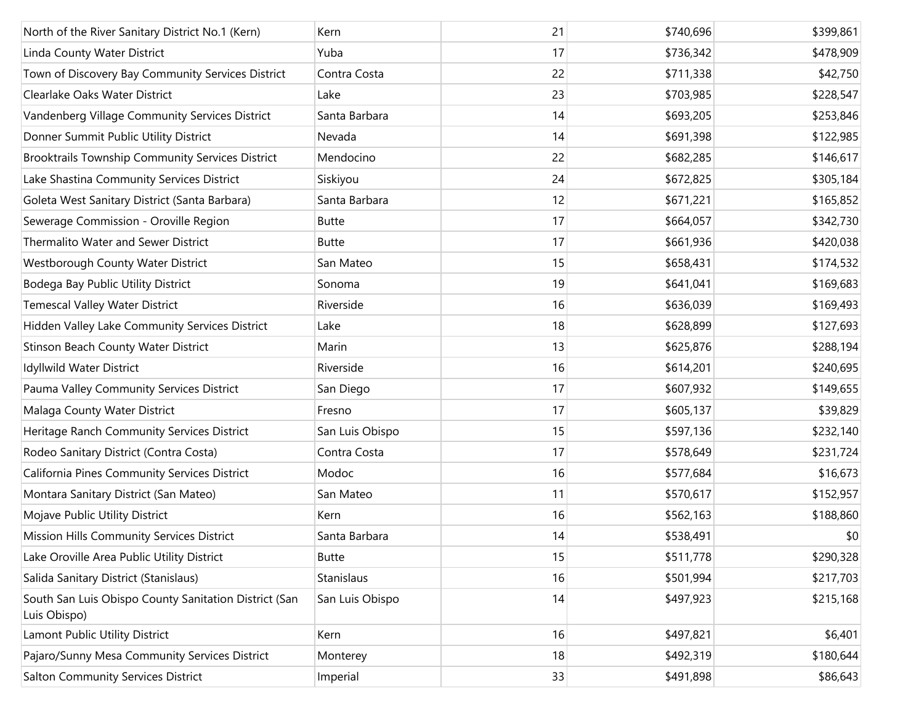| North of the River Sanitary District No.1 (Kern)                      | Kern            | 21 | \$740,696 | \$399,861 |
|-----------------------------------------------------------------------|-----------------|----|-----------|-----------|
| Linda County Water District                                           | Yuba            | 17 | \$736,342 | \$478,909 |
| Town of Discovery Bay Community Services District                     | Contra Costa    | 22 | \$711,338 | \$42,750  |
| Clearlake Oaks Water District                                         | Lake            | 23 | \$703,985 | \$228,547 |
| Vandenberg Village Community Services District                        | Santa Barbara   | 14 | \$693,205 | \$253,846 |
| Donner Summit Public Utility District                                 | Nevada          | 14 | \$691,398 | \$122,985 |
| Brooktrails Township Community Services District                      | Mendocino       | 22 | \$682,285 | \$146,617 |
| Lake Shastina Community Services District                             | Siskiyou        | 24 | \$672,825 | \$305,184 |
| Goleta West Sanitary District (Santa Barbara)                         | Santa Barbara   | 12 | \$671,221 | \$165,852 |
| Sewerage Commission - Oroville Region                                 | <b>Butte</b>    | 17 | \$664,057 | \$342,730 |
| Thermalito Water and Sewer District                                   | <b>Butte</b>    | 17 | \$661,936 | \$420,038 |
| Westborough County Water District                                     | San Mateo       | 15 | \$658,431 | \$174,532 |
| Bodega Bay Public Utility District                                    | Sonoma          | 19 | \$641,041 | \$169,683 |
| <b>Temescal Valley Water District</b>                                 | Riverside       | 16 | \$636,039 | \$169,493 |
| Hidden Valley Lake Community Services District                        | Lake            | 18 | \$628,899 | \$127,693 |
| Stinson Beach County Water District                                   | Marin           | 13 | \$625,876 | \$288,194 |
| Idyllwild Water District                                              | Riverside       | 16 | \$614,201 | \$240,695 |
| Pauma Valley Community Services District                              | San Diego       | 17 | \$607,932 | \$149,655 |
| Malaga County Water District                                          | Fresno          | 17 | \$605,137 | \$39,829  |
| Heritage Ranch Community Services District                            | San Luis Obispo | 15 | \$597,136 | \$232,140 |
| Rodeo Sanitary District (Contra Costa)                                | Contra Costa    | 17 | \$578,649 | \$231,724 |
| California Pines Community Services District                          | Modoc           | 16 | \$577,684 | \$16,673  |
| Montara Sanitary District (San Mateo)                                 | San Mateo       | 11 | \$570,617 | \$152,957 |
| Mojave Public Utility District                                        | Kern            | 16 | \$562,163 | \$188,860 |
| Mission Hills Community Services District                             | Santa Barbara   | 14 | \$538,491 | \$0       |
| Lake Oroville Area Public Utility District                            | <b>Butte</b>    | 15 | \$511,778 | \$290,328 |
| Salida Sanitary District (Stanislaus)                                 | Stanislaus      | 16 | \$501,994 | \$217,703 |
| South San Luis Obispo County Sanitation District (San<br>Luis Obispo) | San Luis Obispo | 14 | \$497,923 | \$215,168 |
| Lamont Public Utility District                                        | Kern            | 16 | \$497,821 | \$6,401   |
| Pajaro/Sunny Mesa Community Services District                         | Monterey        | 18 | \$492,319 | \$180,644 |
| <b>Salton Community Services District</b>                             | Imperial        | 33 | \$491,898 | \$86,643  |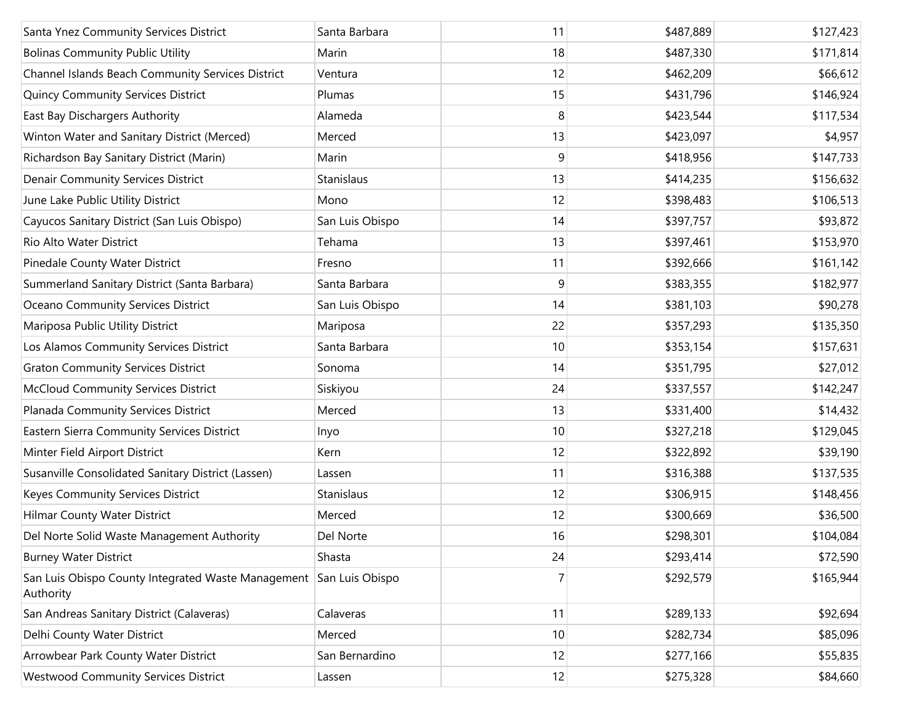| Santa Ynez Community Services District                                          | Santa Barbara   | 11 | \$487,889 | \$127,423 |
|---------------------------------------------------------------------------------|-----------------|----|-----------|-----------|
| <b>Bolinas Community Public Utility</b>                                         | Marin           | 18 | \$487,330 | \$171,814 |
| Channel Islands Beach Community Services District                               | Ventura         | 12 | \$462,209 | \$66,612  |
| <b>Quincy Community Services District</b>                                       | Plumas          | 15 | \$431,796 | \$146,924 |
| East Bay Dischargers Authority                                                  | Alameda         | 8  | \$423,544 | \$117,534 |
| Winton Water and Sanitary District (Merced)                                     | Merced          | 13 | \$423,097 | \$4,957   |
| Richardson Bay Sanitary District (Marin)                                        | Marin           | 9  | \$418,956 | \$147,733 |
| <b>Denair Community Services District</b>                                       | Stanislaus      | 13 | \$414,235 | \$156,632 |
| June Lake Public Utility District                                               | Mono            | 12 | \$398,483 | \$106,513 |
| Cayucos Sanitary District (San Luis Obispo)                                     | San Luis Obispo | 14 | \$397,757 | \$93,872  |
| Rio Alto Water District                                                         | Tehama          | 13 | \$397,461 | \$153,970 |
| Pinedale County Water District                                                  | Fresno          | 11 | \$392,666 | \$161,142 |
| Summerland Sanitary District (Santa Barbara)                                    | Santa Barbara   | 9  | \$383,355 | \$182,977 |
| Oceano Community Services District                                              | San Luis Obispo | 14 | \$381,103 | \$90,278  |
| Mariposa Public Utility District                                                | Mariposa        | 22 | \$357,293 | \$135,350 |
| Los Alamos Community Services District                                          | Santa Barbara   | 10 | \$353,154 | \$157,631 |
| <b>Graton Community Services District</b>                                       | Sonoma          | 14 | \$351,795 | \$27,012  |
| <b>McCloud Community Services District</b>                                      | Siskiyou        | 24 | \$337,557 | \$142,247 |
| Planada Community Services District                                             | Merced          | 13 | \$331,400 | \$14,432  |
| Eastern Sierra Community Services District                                      | Inyo            | 10 | \$327,218 | \$129,045 |
| Minter Field Airport District                                                   | Kern            | 12 | \$322,892 | \$39,190  |
| Susanville Consolidated Sanitary District (Lassen)                              | Lassen          | 11 | \$316,388 | \$137,535 |
| Keyes Community Services District                                               | Stanislaus      | 12 | \$306,915 | \$148,456 |
| Hilmar County Water District                                                    | Merced          | 12 | \$300,669 | \$36,500  |
| Del Norte Solid Waste Management Authority                                      | Del Norte       | 16 | \$298,301 | \$104,084 |
| <b>Burney Water District</b>                                                    | Shasta          | 24 | \$293,414 | \$72,590  |
| San Luis Obispo County Integrated Waste Management San Luis Obispo<br>Authority |                 | 7  | \$292,579 | \$165,944 |
| San Andreas Sanitary District (Calaveras)                                       | Calaveras       | 11 | \$289,133 | \$92,694  |
| Delhi County Water District                                                     | Merced          | 10 | \$282,734 | \$85,096  |
| Arrowbear Park County Water District                                            | San Bernardino  | 12 | \$277,166 | \$55,835  |
| <b>Westwood Community Services District</b>                                     | Lassen          | 12 | \$275,328 | \$84,660  |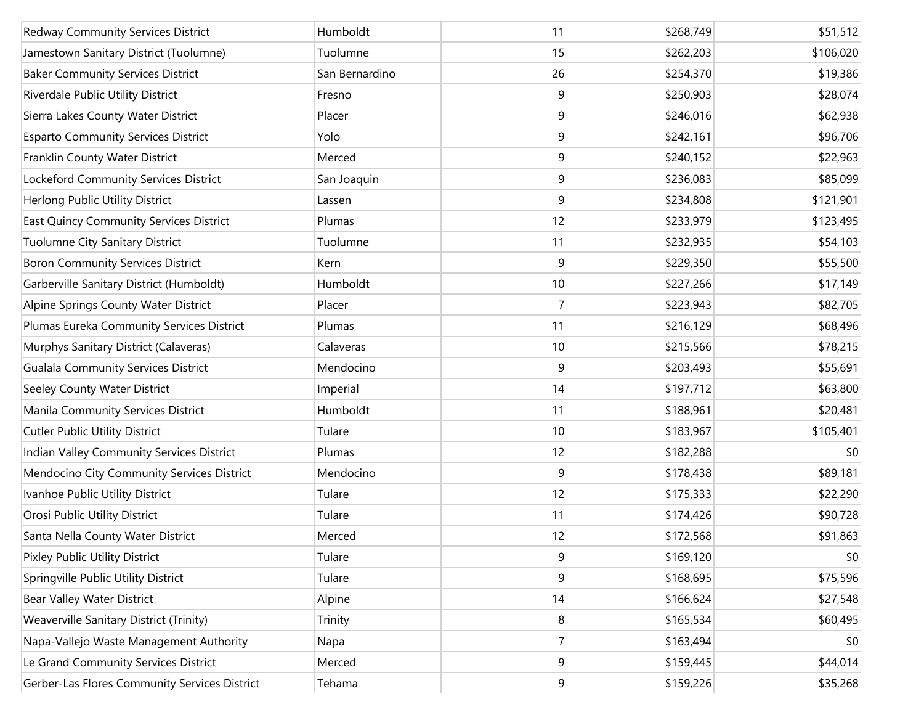| <b>Redway Community Services District</b>     | Humboldt       | 11             | \$268,749 | \$51,512  |
|-----------------------------------------------|----------------|----------------|-----------|-----------|
| Jamestown Sanitary District (Tuolumne)        | Tuolumne       | 15             | \$262,203 | \$106,020 |
| <b>Baker Community Services District</b>      | San Bernardino | 26             | \$254,370 | \$19,386  |
| Riverdale Public Utility District             | Fresno         | 9              | \$250,903 | \$28,074  |
| Sierra Lakes County Water District            | Placer         | 9              | \$246,016 | \$62,938  |
| <b>Esparto Community Services District</b>    | Yolo           | 9              | \$242,161 | \$96,706  |
| Franklin County Water District                | Merced         | 9              | \$240,152 | \$22,963  |
| Lockeford Community Services District         | San Joaquin    | 9              | \$236,083 | \$85,099  |
| Herlong Public Utility District               | Lassen         | 9              | \$234,808 | \$121,901 |
| East Quincy Community Services District       | Plumas         | 12             | \$233,979 | \$123,495 |
| Tuolumne City Sanitary District               | Tuolumne       | 11             | \$232,935 | \$54,103  |
| <b>Boron Community Services District</b>      | Kern           | 9              | \$229,350 | \$55,500  |
| Garberville Sanitary District (Humboldt)      | Humboldt       | 10             | \$227,266 | \$17,149  |
| Alpine Springs County Water District          | Placer         | 7              | \$223,943 | \$82,705  |
| Plumas Eureka Community Services District     | Plumas         | 11             | \$216,129 | \$68,496  |
| Murphys Sanitary District (Calaveras)         | Calaveras      | 10             | \$215,566 | \$78,215  |
| <b>Gualala Community Services District</b>    | Mendocino      | 9              | \$203,493 | \$55,691  |
| Seeley County Water District                  | Imperial       | 14             | \$197,712 | \$63,800  |
| Manila Community Services District            | Humboldt       | 11             | \$188,961 | \$20,481  |
| <b>Cutler Public Utility District</b>         | Tulare         | 10             | \$183,967 | \$105,401 |
| Indian Valley Community Services District     | Plumas         | 12             | \$182,288 | \$0       |
| Mendocino City Community Services District    | Mendocino      | 9              | \$178,438 | \$89,181  |
| Ivanhoe Public Utility District               | Tulare         | 12             | \$175,333 | \$22,290  |
| Orosi Public Utility District                 | Tulare         | 11             | \$174,426 | \$90,728  |
| Santa Nella County Water District             | Merced         | 12             | \$172,568 | \$91,863  |
| Pixley Public Utility District                | Tulare         | 9              | \$169,120 | \$0       |
| Springville Public Utility District           | Tulare         | 9              | \$168,695 | \$75,596  |
| <b>Bear Valley Water District</b>             | Alpine         | 14             | \$166,624 | \$27,548  |
| Weaverville Sanitary District (Trinity)       | Trinity        | 8              | \$165,534 | \$60,495  |
| Napa-Vallejo Waste Management Authority       | Napa           | $\overline{7}$ | \$163,494 | \$0       |
| Le Grand Community Services District          | Merced         | 9              | \$159,445 | \$44,014  |
| Gerber-Las Flores Community Services District | Tehama         | 9              | \$159,226 | \$35,268  |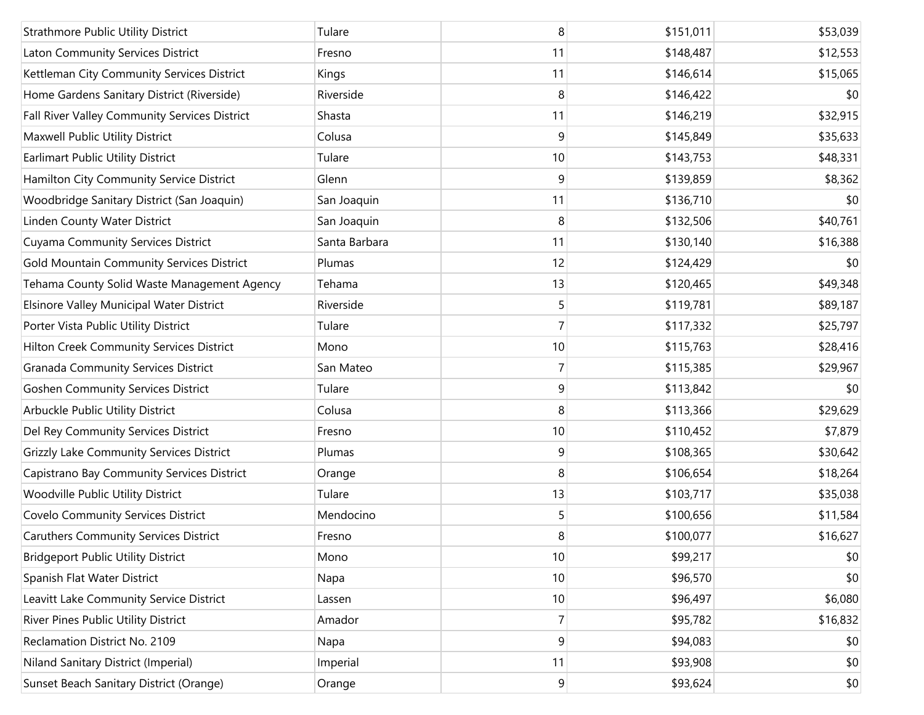| <b>Strathmore Public Utility District</b>     | Tulare        | 8              | \$151,011 | \$53,039 |
|-----------------------------------------------|---------------|----------------|-----------|----------|
| Laton Community Services District             | Fresno        | 11             | \$148,487 | \$12,553 |
| Kettleman City Community Services District    | Kings         | 11             | \$146,614 | \$15,065 |
| Home Gardens Sanitary District (Riverside)    | Riverside     | 8              | \$146,422 | \$0      |
| Fall River Valley Community Services District | Shasta        | 11             | \$146,219 | \$32,915 |
| Maxwell Public Utility District               | Colusa        | 9              | \$145,849 | \$35,633 |
| <b>Earlimart Public Utility District</b>      | Tulare        | 10             | \$143,753 | \$48,331 |
| Hamilton City Community Service District      | Glenn         | 9              | \$139,859 | \$8,362  |
| Woodbridge Sanitary District (San Joaquin)    | San Joaquin   | 11             | \$136,710 | \$0      |
| Linden County Water District                  | San Joaquin   | 8              | \$132,506 | \$40,761 |
| <b>Cuyama Community Services District</b>     | Santa Barbara | 11             | \$130,140 | \$16,388 |
| Gold Mountain Community Services District     | Plumas        | 12             | \$124,429 | \$0      |
| Tehama County Solid Waste Management Agency   | Tehama        | 13             | \$120,465 | \$49,348 |
| Elsinore Valley Municipal Water District      | Riverside     | 5              | \$119,781 | \$89,187 |
| Porter Vista Public Utility District          | Tulare        | $\overline{7}$ | \$117,332 | \$25,797 |
| Hilton Creek Community Services District      | Mono          | 10             | \$115,763 | \$28,416 |
| <b>Granada Community Services District</b>    | San Mateo     | 7              | \$115,385 | \$29,967 |
| <b>Goshen Community Services District</b>     | Tulare        | 9              | \$113,842 | \$0      |
| Arbuckle Public Utility District              | Colusa        | 8              | \$113,366 | \$29,629 |
| Del Rey Community Services District           | Fresno        | $10$           | \$110,452 | \$7,879  |
| Grizzly Lake Community Services District      | Plumas        | 9              | \$108,365 | \$30,642 |
| Capistrano Bay Community Services District    | Orange        | 8              | \$106,654 | \$18,264 |
| Woodville Public Utility District             | Tulare        | 13             | \$103,717 | \$35,038 |
| <b>Covelo Community Services District</b>     | Mendocino     | 5              | \$100,656 | \$11,584 |
| <b>Caruthers Community Services District</b>  | Fresno        | 8              | \$100,077 | \$16,627 |
| <b>Bridgeport Public Utility District</b>     | Mono          | 10             | \$99,217  | \$0      |
| Spanish Flat Water District                   | Napa          | 10             | \$96,570  | \$0      |
| Leavitt Lake Community Service District       | Lassen        | 10             | \$96,497  | \$6,080  |
| River Pines Public Utility District           | Amador        | $\overline{7}$ | \$95,782  | \$16,832 |
| Reclamation District No. 2109                 | Napa          | 9              | \$94,083  | \$0      |
| Niland Sanitary District (Imperial)           | Imperial      | 11             | \$93,908  | \$0      |
| Sunset Beach Sanitary District (Orange)       | Orange        | 9              | \$93,624  | \$0      |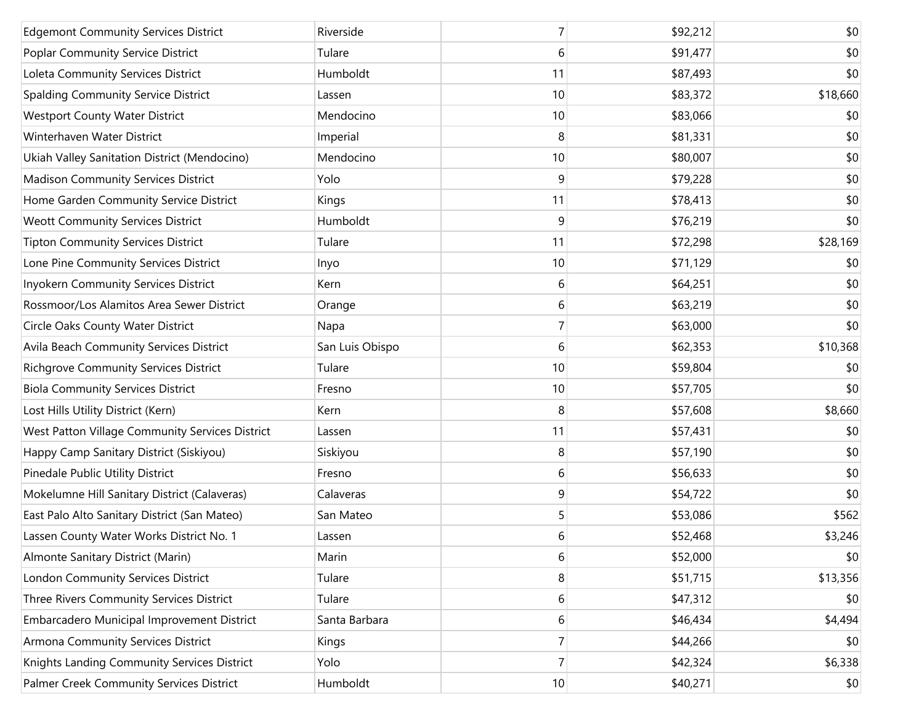| <b>Edgemont Community Services District</b>     | Riverside       | 7               | \$92,212 | \$0      |
|-------------------------------------------------|-----------------|-----------------|----------|----------|
| Poplar Community Service District               | Tulare          | 6               | \$91,477 | \$0      |
| Loleta Community Services District              | Humboldt        | 11              | \$87,493 | \$0      |
| Spalding Community Service District             | Lassen          | 10              | \$83,372 | \$18,660 |
| <b>Westport County Water District</b>           | Mendocino       | 10              | \$83,066 | \$0      |
| Winterhaven Water District                      | Imperial        | 8               | \$81,331 | \$0      |
| Ukiah Valley Sanitation District (Mendocino)    | Mendocino       | 10              | \$80,007 | \$0      |
| <b>Madison Community Services District</b>      | Yolo            | 9               | \$79,228 | \$0      |
| Home Garden Community Service District          | Kings           | 11              | \$78,413 | \$0      |
| <b>Weott Community Services District</b>        | Humboldt        | 9               | \$76,219 | \$0      |
| <b>Tipton Community Services District</b>       | Tulare          | 11              | \$72,298 | \$28,169 |
| Lone Pine Community Services District           | Inyo            | 10              | \$71,129 | \$0      |
| Inyokern Community Services District            | Kern            | 6               | \$64,251 | \$0      |
| Rossmoor/Los Alamitos Area Sewer District       | Orange          | 6               | \$63,219 | \$0      |
| Circle Oaks County Water District               | Napa            | $\overline{7}$  | \$63,000 | \$0      |
| Avila Beach Community Services District         | San Luis Obispo | 6               | \$62,353 | \$10,368 |
| <b>Richgrove Community Services District</b>    | Tulare          | 10              | \$59,804 | \$0      |
| <b>Biola Community Services District</b>        | Fresno          | 10              | \$57,705 | \$0      |
| Lost Hills Utility District (Kern)              | Kern            | 8               | \$57,608 | \$8,660  |
| West Patton Village Community Services District | Lassen          | 11              | \$57,431 | \$0      |
| Happy Camp Sanitary District (Siskiyou)         | Siskiyou        | 8               | \$57,190 | \$0      |
| Pinedale Public Utility District                | Fresno          | 6               | \$56,633 | \$0      |
| Mokelumne Hill Sanitary District (Calaveras)    | Calaveras       | 9               | \$54,722 | \$0      |
| East Palo Alto Sanitary District (San Mateo)    | San Mateo       | 5               | \$53,086 | \$562    |
| Lassen County Water Works District No. 1        | Lassen          | 6               | \$52,468 | \$3,246  |
| Almonte Sanitary District (Marin)               | Marin           | 6               | \$52,000 | \$0      |
| London Community Services District              | Tulare          | 8               | \$51,715 | \$13,356 |
| Three Rivers Community Services District        | Tulare          | 6               | \$47,312 | \$0      |
| Embarcadero Municipal Improvement District      | Santa Barbara   | 6               | \$46,434 | \$4,494  |
| Armona Community Services District              | Kings           | $\overline{7}$  | \$44,266 | \$0      |
| Knights Landing Community Services District     | Yolo            | $\overline{7}$  | \$42,324 | \$6,338  |
| Palmer Creek Community Services District        | Humboldt        | 10 <sup>1</sup> | \$40,271 | \$0      |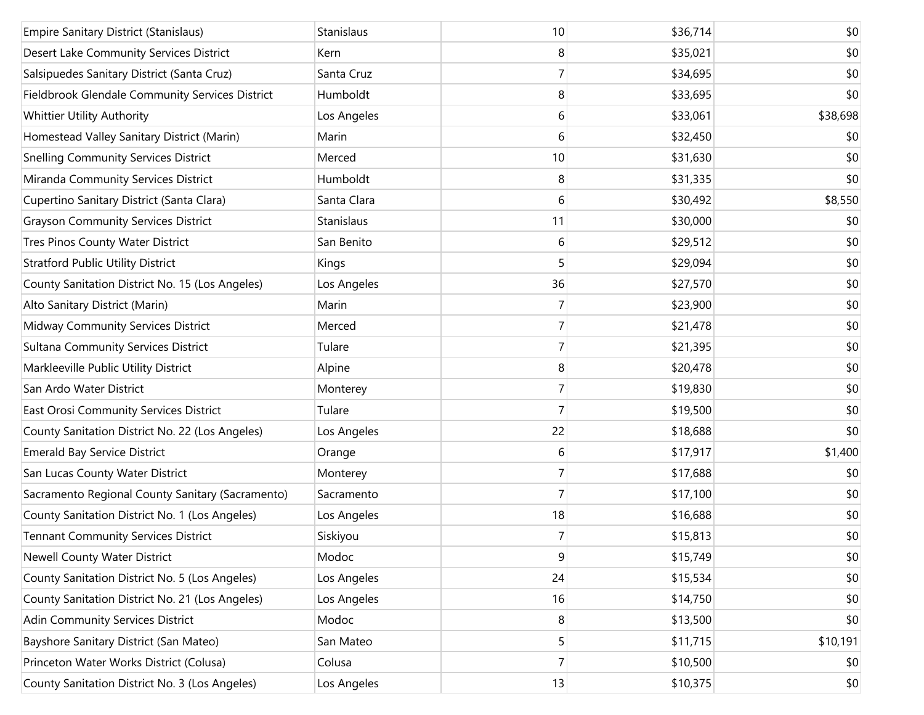| <b>Empire Sanitary District (Stanislaus)</b>     | Stanislaus  | 10             | \$36,714 | \$0      |
|--------------------------------------------------|-------------|----------------|----------|----------|
| Desert Lake Community Services District          | Kern        | 8              | \$35,021 | \$0      |
| Salsipuedes Sanitary District (Santa Cruz)       | Santa Cruz  | $\overline{7}$ | \$34,695 | \$0      |
| Fieldbrook Glendale Community Services District  | Humboldt    | 8              | \$33,695 | \$0      |
| Whittier Utility Authority                       | Los Angeles | 6              | \$33,061 | \$38,698 |
| Homestead Valley Sanitary District (Marin)       | Marin       | 6              | \$32,450 | \$0      |
| <b>Snelling Community Services District</b>      | Merced      | 10             | \$31,630 | \$0      |
| Miranda Community Services District              | Humboldt    | 8              | \$31,335 | \$0      |
| Cupertino Sanitary District (Santa Clara)        | Santa Clara | 6              | \$30,492 | \$8,550  |
| <b>Grayson Community Services District</b>       | Stanislaus  | 11             | \$30,000 | \$0      |
| Tres Pinos County Water District                 | San Benito  | 6              | \$29,512 | \$0      |
| <b>Stratford Public Utility District</b>         | Kings       | 5              | \$29,094 | \$0      |
| County Sanitation District No. 15 (Los Angeles)  | Los Angeles | 36             | \$27,570 | \$0      |
| Alto Sanitary District (Marin)                   | Marin       | 7              | \$23,900 | \$0      |
| Midway Community Services District               | Merced      | $\overline{7}$ | \$21,478 | \$0      |
| <b>Sultana Community Services District</b>       | Tulare      | 7              | \$21,395 | \$0      |
| Markleeville Public Utility District             | Alpine      | 8              | \$20,478 | \$0      |
| San Ardo Water District                          | Monterey    | $\overline{7}$ | \$19,830 | \$0      |
| East Orosi Community Services District           | Tulare      | $\overline{7}$ | \$19,500 | \$0      |
| County Sanitation District No. 22 (Los Angeles)  | Los Angeles | 22             | \$18,688 | \$0      |
| <b>Emerald Bay Service District</b>              | Orange      | 6              | \$17,917 | \$1,400  |
| San Lucas County Water District                  | Monterey    | $\overline{7}$ | \$17,688 | \$0      |
| Sacramento Regional County Sanitary (Sacramento) | Sacramento  | $\overline{7}$ | \$17,100 | \$0      |
| County Sanitation District No. 1 (Los Angeles)   | Los Angeles | 18             | \$16,688 | \$0      |
| <b>Tennant Community Services District</b>       | Siskiyou    | $\overline{7}$ | \$15,813 | \$0      |
| Newell County Water District                     | Modoc       | 9              | \$15,749 | \$0      |
| County Sanitation District No. 5 (Los Angeles)   | Los Angeles | 24             | \$15,534 | \$0      |
| County Sanitation District No. 21 (Los Angeles)  | Los Angeles | 16             | \$14,750 | \$0      |
| Adin Community Services District                 | Modoc       | 8              | \$13,500 | \$0      |
| Bayshore Sanitary District (San Mateo)           | San Mateo   | 5              | \$11,715 | \$10,191 |
| Princeton Water Works District (Colusa)          | Colusa      | $\overline{7}$ | \$10,500 | \$0      |
| County Sanitation District No. 3 (Los Angeles)   | Los Angeles | 13             | \$10,375 | \$0      |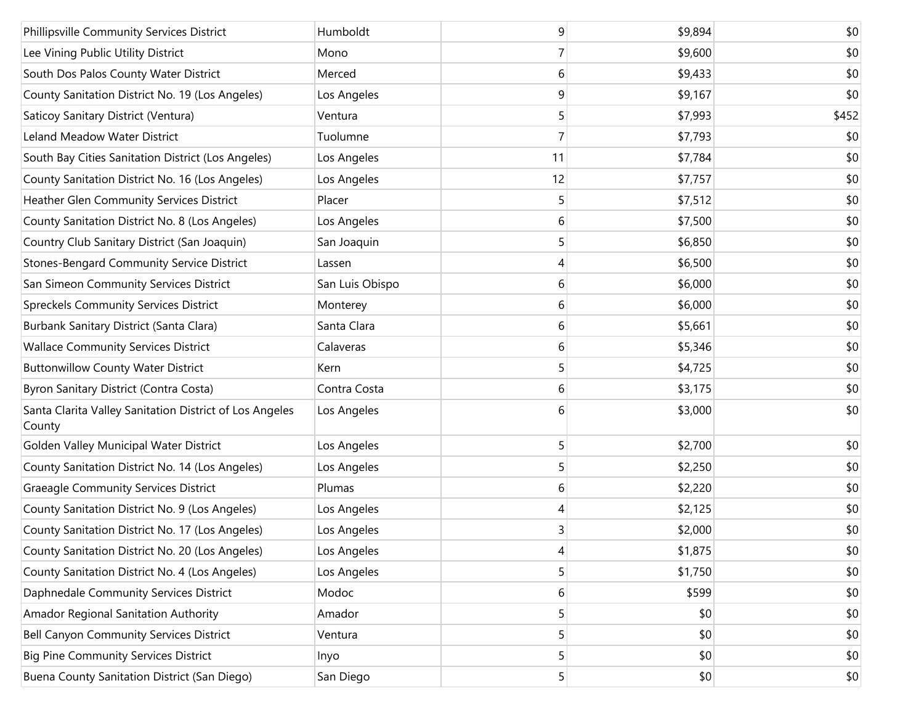| Phillipsville Community Services District                         | Humboldt        | 9  | \$9,894 | \$0   |
|-------------------------------------------------------------------|-----------------|----|---------|-------|
| Lee Vining Public Utility District                                | Mono            | 7  | \$9,600 | \$0   |
| South Dos Palos County Water District                             | Merced          | 6  | \$9,433 | \$0   |
| County Sanitation District No. 19 (Los Angeles)                   | Los Angeles     | 9  | \$9,167 | \$0   |
| Saticoy Sanitary District (Ventura)                               | Ventura         | 5  | \$7,993 | \$452 |
| Leland Meadow Water District                                      | Tuolumne        | 7  | \$7,793 | \$0   |
| South Bay Cities Sanitation District (Los Angeles)                | Los Angeles     | 11 | \$7,784 | \$0   |
| County Sanitation District No. 16 (Los Angeles)                   | Los Angeles     | 12 | \$7,757 | \$0   |
| Heather Glen Community Services District                          | Placer          | 5  | \$7,512 | \$0   |
| County Sanitation District No. 8 (Los Angeles)                    | Los Angeles     | 6  | \$7,500 | \$0   |
| Country Club Sanitary District (San Joaquin)                      | San Joaquin     | 5  | \$6,850 | \$0   |
| Stones-Bengard Community Service District                         | Lassen          | 4  | \$6,500 | \$0   |
| San Simeon Community Services District                            | San Luis Obispo | 6  | \$6,000 | \$0   |
| <b>Spreckels Community Services District</b>                      | Monterey        | 6  | \$6,000 | \$0   |
| Burbank Sanitary District (Santa Clara)                           | Santa Clara     | 6  | \$5,661 | \$0   |
| <b>Wallace Community Services District</b>                        | Calaveras       | 6  | \$5,346 | \$0   |
| <b>Buttonwillow County Water District</b>                         | Kern            | 5  | \$4,725 | \$0   |
| Byron Sanitary District (Contra Costa)                            | Contra Costa    | 6  | \$3,175 | \$0   |
| Santa Clarita Valley Sanitation District of Los Angeles<br>County | Los Angeles     | 6  | \$3,000 | \$0   |
| Golden Valley Municipal Water District                            | Los Angeles     | 5  | \$2,700 | \$0   |
| County Sanitation District No. 14 (Los Angeles)                   | Los Angeles     | 5  | \$2,250 | \$0   |
| <b>Graeagle Community Services District</b>                       | Plumas          | 6  | \$2,220 | \$0   |
| County Sanitation District No. 9 (Los Angeles)                    | Los Angeles     | 4  | \$2,125 | \$0   |
| County Sanitation District No. 17 (Los Angeles)                   | Los Angeles     | 3  | \$2,000 | \$0   |
| County Sanitation District No. 20 (Los Angeles)                   | Los Angeles     | 4  | \$1,875 | \$0   |
| County Sanitation District No. 4 (Los Angeles)                    | Los Angeles     | 5  | \$1,750 | \$0   |
| Daphnedale Community Services District                            | Modoc           | 6  | \$599   | \$0   |
| Amador Regional Sanitation Authority                              | Amador          | 5  | \$0     | \$0   |
| Bell Canyon Community Services District                           | Ventura         | 5  | \$0     | \$0   |
| <b>Big Pine Community Services District</b>                       | Inyo            | 5  | \$0     | \$0   |
| Buena County Sanitation District (San Diego)                      | San Diego       | 5  | \$0     | \$0   |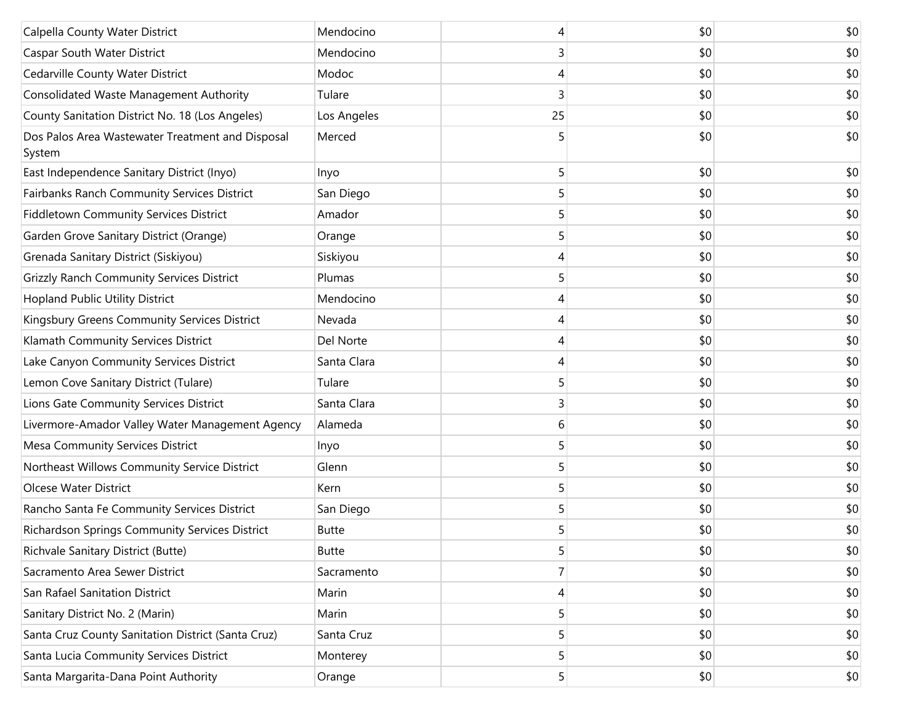| Calpella County Water District                             | Mendocino    |    | \$0 | \$0 |
|------------------------------------------------------------|--------------|----|-----|-----|
| Caspar South Water District                                | Mendocino    | 3  | \$0 | \$0 |
| Cedarville County Water District                           | Modoc        | 4  | \$0 | \$0 |
| <b>Consolidated Waste Management Authority</b>             | Tulare       | 3  | \$0 | \$0 |
| County Sanitation District No. 18 (Los Angeles)            | Los Angeles  | 25 | \$0 | \$0 |
| Dos Palos Area Wastewater Treatment and Disposal<br>System | Merced       | 5  | \$0 | \$0 |
| East Independence Sanitary District (Inyo)                 | Inyo         | 5  | \$0 | \$0 |
| Fairbanks Ranch Community Services District                | San Diego    | 5  | \$0 | \$0 |
| Fiddletown Community Services District                     | Amador       | 5  | \$0 | \$0 |
| Garden Grove Sanitary District (Orange)                    | Orange       | 5  | \$0 | \$0 |
| Grenada Sanitary District (Siskiyou)                       | Siskiyou     | 4  | \$0 | \$0 |
| <b>Grizzly Ranch Community Services District</b>           | Plumas       | 5  | \$0 | \$0 |
| Hopland Public Utility District                            | Mendocino    | 4  | \$0 | \$0 |
| Kingsbury Greens Community Services District               | Nevada       | 4  | \$0 | \$0 |
| Klamath Community Services District                        | Del Norte    | 4  | \$0 | \$0 |
| Lake Canyon Community Services District                    | Santa Clara  | 4  | \$0 | \$0 |
| Lemon Cove Sanitary District (Tulare)                      | Tulare       | 5  | \$0 | \$0 |
| Lions Gate Community Services District                     | Santa Clara  | 3  | \$0 | \$0 |
| Livermore-Amador Valley Water Management Agency            | Alameda      | 6  | \$0 | \$0 |
| Mesa Community Services District                           | Inyo         | 5  | \$0 | \$0 |
| Northeast Willows Community Service District               | Glenn        | 5  | \$0 | \$0 |
| Olcese Water District                                      | Kern         | 5  | \$0 | \$0 |
| Rancho Santa Fe Community Services District                | San Diego    | 5  | \$0 | \$0 |
| Richardson Springs Community Services District             | <b>Butte</b> | 5  | \$0 | \$0 |
| Richvale Sanitary District (Butte)                         | <b>Butte</b> | 5  | \$0 | \$0 |
| Sacramento Area Sewer District                             | Sacramento   |    | \$0 | \$0 |
| San Rafael Sanitation District                             | Marin        | 4  | \$0 | \$0 |
| Sanitary District No. 2 (Marin)                            | Marin        | 5  | \$0 | \$0 |
| Santa Cruz County Sanitation District (Santa Cruz)         | Santa Cruz   | 5  | \$0 | \$0 |
| Santa Lucia Community Services District                    | Monterey     | 5  | \$0 | \$0 |
| Santa Margarita-Dana Point Authority                       | Orange       | 5  | \$0 | \$0 |